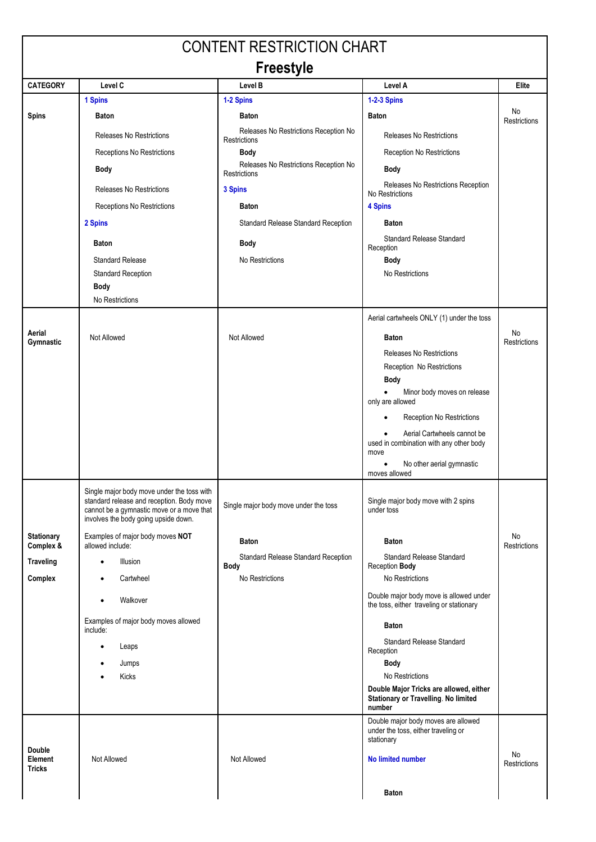| <b>CONTENT RESTRICTION CHART</b>          |                                                                                                                                                                              |                                                       |                                                                                                  |                           |  |  |  |
|-------------------------------------------|------------------------------------------------------------------------------------------------------------------------------------------------------------------------------|-------------------------------------------------------|--------------------------------------------------------------------------------------------------|---------------------------|--|--|--|
| <b>Freestyle</b>                          |                                                                                                                                                                              |                                                       |                                                                                                  |                           |  |  |  |
| <b>CATEGORY</b>                           | Level C                                                                                                                                                                      | Level B                                               | Level A                                                                                          | Elite                     |  |  |  |
|                                           | 1 Spins                                                                                                                                                                      | 1-2 Spins                                             | <b>1-2-3 Spins</b>                                                                               | No                        |  |  |  |
| <b>Spins</b>                              | <b>Baton</b>                                                                                                                                                                 | <b>Baton</b>                                          | <b>Baton</b>                                                                                     | <b>Restrictions</b>       |  |  |  |
|                                           | Releases No Restrictions                                                                                                                                                     | Releases No Restrictions Reception No<br>Restrictions | Releases No Restrictions                                                                         |                           |  |  |  |
|                                           | Receptions No Restrictions                                                                                                                                                   | <b>Body</b>                                           | Reception No Restrictions                                                                        |                           |  |  |  |
|                                           | <b>Body</b>                                                                                                                                                                  | Releases No Restrictions Reception No<br>Restrictions | <b>Body</b>                                                                                      |                           |  |  |  |
|                                           | <b>Releases No Restrictions</b>                                                                                                                                              | 3 Spins                                               | Releases No Restrictions Reception<br>No Restrictions                                            |                           |  |  |  |
|                                           | Receptions No Restrictions                                                                                                                                                   | <b>Baton</b>                                          | 4 Spins                                                                                          |                           |  |  |  |
|                                           | 2 Spins                                                                                                                                                                      | Standard Release Standard Reception                   | <b>Baton</b>                                                                                     |                           |  |  |  |
|                                           | <b>Baton</b>                                                                                                                                                                 | <b>Body</b>                                           | <b>Standard Release Standard</b><br>Reception                                                    |                           |  |  |  |
|                                           | <b>Standard Release</b>                                                                                                                                                      | No Restrictions                                       | <b>Body</b>                                                                                      |                           |  |  |  |
|                                           | <b>Standard Reception</b>                                                                                                                                                    |                                                       | No Restrictions                                                                                  |                           |  |  |  |
|                                           | <b>Body</b><br>No Restrictions                                                                                                                                               |                                                       |                                                                                                  |                           |  |  |  |
|                                           |                                                                                                                                                                              |                                                       | Aerial cartwheels ONLY (1) under the toss                                                        |                           |  |  |  |
| Aerial                                    |                                                                                                                                                                              |                                                       |                                                                                                  | No                        |  |  |  |
| Gymnastic                                 | Not Allowed                                                                                                                                                                  | Not Allowed                                           | <b>Baton</b><br><b>Releases No Restrictions</b>                                                  | <b>Restrictions</b>       |  |  |  |
|                                           |                                                                                                                                                                              |                                                       | Reception No Restrictions                                                                        |                           |  |  |  |
|                                           |                                                                                                                                                                              |                                                       | <b>Body</b>                                                                                      |                           |  |  |  |
|                                           |                                                                                                                                                                              |                                                       | Minor body moves on release<br>$\bullet$<br>only are allowed                                     |                           |  |  |  |
|                                           |                                                                                                                                                                              |                                                       | Reception No Restrictions                                                                        |                           |  |  |  |
|                                           |                                                                                                                                                                              |                                                       | Aerial Cartwheels cannot be<br>used in combination with any other body                           |                           |  |  |  |
|                                           |                                                                                                                                                                              |                                                       | move<br>No other aerial gymnastic<br>$\bullet$                                                   |                           |  |  |  |
|                                           |                                                                                                                                                                              |                                                       | moves allowed                                                                                    |                           |  |  |  |
|                                           | Single major body move under the toss with<br>standard release and reception. Body move<br>cannot be a gymnastic move or a move that<br>involves the body going upside down. | Single major body move under the toss                 | Single major body move with 2 spins<br>under toss                                                |                           |  |  |  |
| Stationary<br>Complex &                   | Examples of major body moves NOT<br>allowed include:                                                                                                                         | <b>Baton</b>                                          | <b>Baton</b>                                                                                     | No<br><b>Restrictions</b> |  |  |  |
| <b>Traveling</b>                          | Illusion<br>$\bullet$                                                                                                                                                        | <b>Standard Release Standard Reception</b>            | <b>Standard Release Standard</b>                                                                 |                           |  |  |  |
| Complex                                   | Cartwheel                                                                                                                                                                    | Body<br>No Restrictions                               | Reception Body<br>No Restrictions                                                                |                           |  |  |  |
|                                           | Walkover                                                                                                                                                                     |                                                       | Double major body move is allowed under<br>the toss, either traveling or stationary              |                           |  |  |  |
|                                           | Examples of major body moves allowed                                                                                                                                         |                                                       | <b>Baton</b>                                                                                     |                           |  |  |  |
|                                           | include:<br>Leaps<br>$\bullet$                                                                                                                                               |                                                       | <b>Standard Release Standard</b>                                                                 |                           |  |  |  |
|                                           | Jumps                                                                                                                                                                        |                                                       | Reception<br>Body                                                                                |                           |  |  |  |
|                                           | Kicks                                                                                                                                                                        |                                                       | No Restrictions                                                                                  |                           |  |  |  |
|                                           |                                                                                                                                                                              |                                                       | Double Major Tricks are allowed, either<br><b>Stationary or Travelling. No limited</b><br>number |                           |  |  |  |
|                                           |                                                                                                                                                                              |                                                       | Double major body moves are allowed<br>under the toss, either traveling or<br>stationary         |                           |  |  |  |
| Double<br><b>Element</b><br><b>Tricks</b> | Not Allowed                                                                                                                                                                  | Not Allowed                                           | <b>No limited number</b>                                                                         | No<br>Restrictions        |  |  |  |
|                                           |                                                                                                                                                                              |                                                       | <b>Baton</b>                                                                                     |                           |  |  |  |